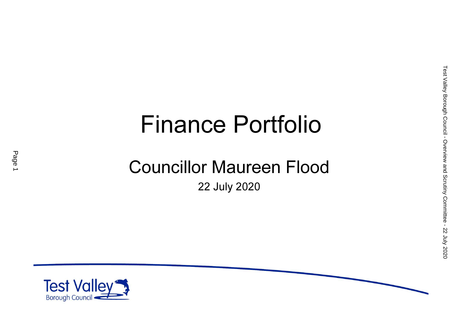# Finance Portfolio

### Councillor Maureen Flood22 July 2020



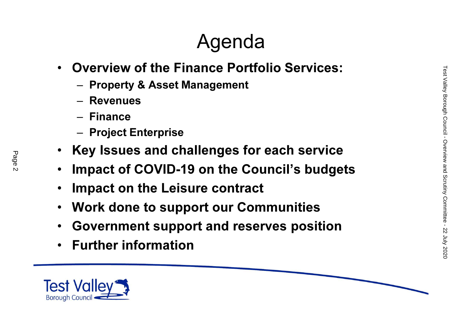## Agenda

- Overview of the Finance Portfolio Services:
	- –– Property & Asset Management
	- –Revenues
	- –– Finance
	- –– Project Enterprise
- •Key Issues and challenges for each service
- •Impact of COVID-19 on the Council's budgets
- •Impact on the Leisure contract
- •Work done to support our Communities
- •Government support and reserves position
- •Further information



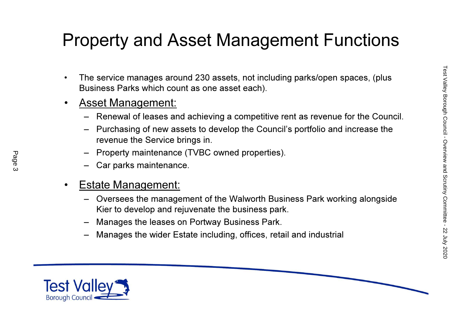### Property and Asset Management Functions

- • The service manages around 230 assets, not including parks/open spaces, (plus Business Parks which count as one asset each).
- • Asset Management:
	- Renewal of leases and achieving a competitive rent as revenue for the Council.
	- Purchasing of new assets to develop the Council's portfolio and increase the revenue the Service brings in.
	- Property maintenance (TVBC owned properties).
	- Car parks maintenance.
- • Estate Management:
	- Oversees the management of the Walworth Business Park working alongside Kier to develop and rejuvenate the business park.
	- Manages the leases on Portway Business Park.
	- Manages the wider Estate including, offices, retail and industrial



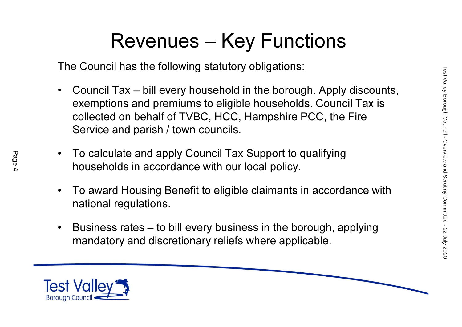### Revenues – Key Functions

The Council has the following statutory obligations:

- $\bullet$  Council Tax – bill every household in the borough. Apply discounts, exemptions and premiums to eligible households. Council Tax is collected on behalf of TVBC, HCC, Hampshire PCC, the Fire Service and parish / town councils.
- • To calculate and apply Council Tax Support to qualifying households in accordance with our local policy.
- • To award Housing Benefit to eligible claimants in accordance with national regulations.
- • Business rates – to bill every business in the borough, applying mandatory and discretionary reliefs where applicable.



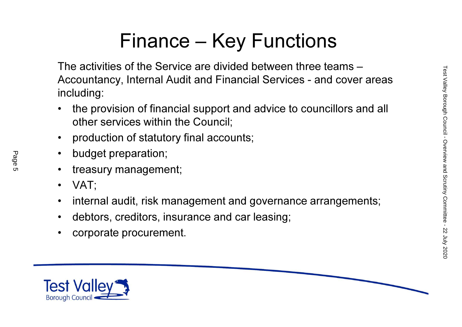## Finance – Key Functions

The activities of the Service are divided between three teams – Accountancy, Internal Audit and Financial Services - and cover areas including:

- • the provision of financial support and advice to councillors and all other services within the Council;
- •production of statutory final accounts;
- •budget preparation;
- •treasury management;
- •VAT;

- •internal audit, risk management and governance arrangements;
- •debtors, creditors, insurance and car leasing;
- •corporate procurement.



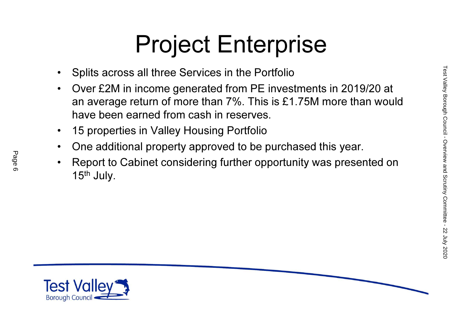# Project Enterprise

- $\bullet$ Splits across all three Services in the Portfolio
- $\bullet$  Over £2M in income generated from PE investments in 2019/20 at an average return of more than 7%. This is £1.75M more than would have been earned from cash in reserves.
- •15 properties in Valley Housing Portfolio
- $\bullet$ One additional property approved to be purchased this year.
- • Report to Cabinet considering further opportunity was presented on 15<sup>th</sup> July.



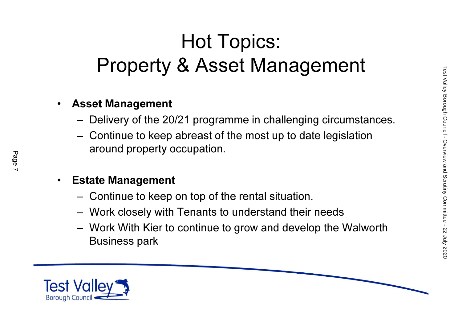## Hot Topics: Property & Asset Management

#### $\bullet$ Asset Management

- –Delivery of the 20/21 programme in challenging circumstances.
- – Continue to keep abreast of the most up to date legislation around property occupation.

#### $\bullet$ Estate Management

- –Continue to keep on top of the rental situation.
- –Work closely with Tenants to understand their needs
- – Work With Kier to continue to grow and develop the Walworth Business park

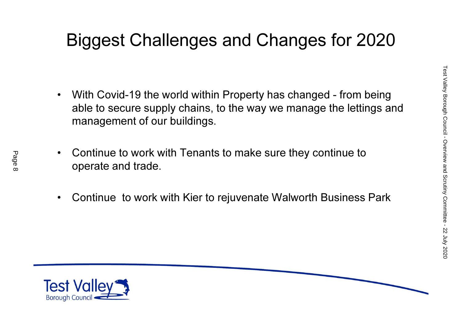### Biggest Challenges and Changes for 2020

- $\bullet$  With Covid-19 the world within Property has changed - from being able to secure supply chains, to the way we manage the lettings and management of our buildings.
- $\bullet$  Continue to work with Tenants to make sure they continue to operate and trade.
- $\bullet$ Continue to work with Kier to rejuvenate Walworth Business Park



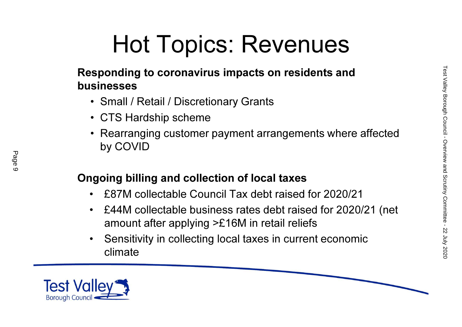# Hot Topics: Revenues

#### Responding to coronavirus impacts on residents and businesses

- Small / Retail / Discretionary Grants
- CTS Hardship scheme
- Rearranging customer payment arrangements where affected by COVID

#### Ongoing billing and collection of local taxes

- •£87M collectable Council Tax debt raised for 2020/21
- • £44M collectable business rates debt raised for 2020/21 (net amount after applying >£16M in retail reliefs
- • Sensitivity in collecting local taxes in current economic climate



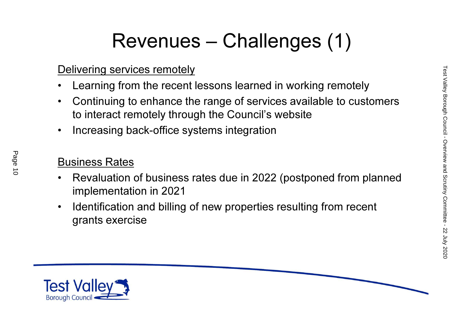# Revenues – Challenges (1)

#### Delivering services remotely

- •Learning from the recent lessons learned in working remotely
- • Continuing to enhance the range of services available to customers to interact remotely through the Council's website
- •Increasing back-office systems integration

#### Business Rates

- • Revaluation of business rates due in 2022 (postponed from planned implementation in 2021
- • Identification and billing of new properties resulting from recent grants exercise



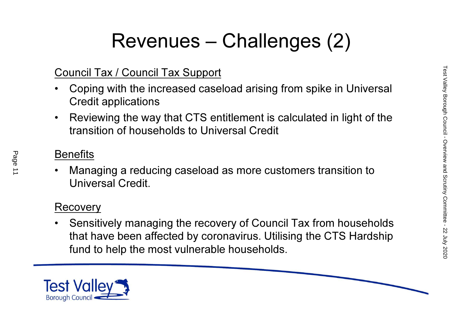# Revenues – Challenges (2)

#### Council Tax / Council Tax Support

- • Coping with the increased caseload arising from spike in Universal Credit applications
- • Reviewing the way that CTS entitlement is calculated in light of the transition of households to Universal Credit

#### **Benefits**

• Managing a reducing caseload as more customers transition to Universal Credit.

#### **Recovery**

• Sensitively managing the recovery of Council Tax from households that have been affected by coronavirus. Utilising the CTS Hardship fund to help the most vulnerable households.



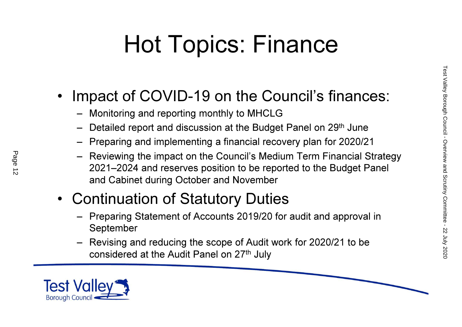# Hot Topics: Finance

#### •Impact of COVID-19 on the Council's finances:

- Monitoring and reporting monthly to MHCLG
- Detailed report and discussion at the Budget Panel on 29th June
- Preparing and implementing a financial recovery plan for 2020/21
- Reviewing the impact on the Council's Medium Term Financial Strategy 2021–2024 and reserves position to be reported to the Budget Panel and Cabinet during October and November
- Continuation of Statutory Duties
	- Preparing Statement of Accounts 2019/20 for audit and approval in September
	- – Revising and reducing the scope of Audit work for 2020/21 to be considered at the Audit Panel on 27<sup>th</sup> July



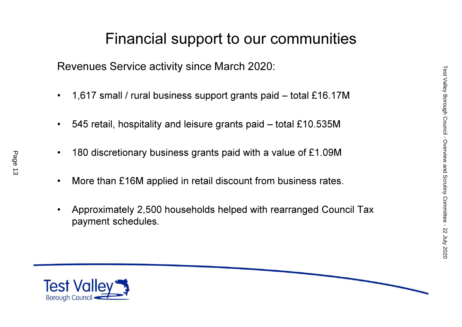### Financial support to our communities

Revenues Service activity since March 2020:

- •1,617 small / rural business support grants paid – total £16.17M
- $\bullet$ 545 retail, hospitality and leisure grants paid – total £10.535M
- •180 discretionary business grants paid with a value of £1.09M
- •More than £16M applied in retail discount from business rates.
- $\bullet$  Approximately 2,500 households helped with rearranged Council Tax payment schedules.



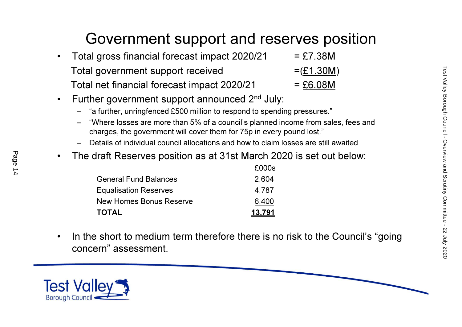### Government support and reserves position

- •Total gross financial forecast impact  $2020/21 = £7.38M$  $= (£1.30M)$ Total government support received Total net financial forecast impact  $2020/21 = £6.08M$
- • Further government support announced 2nd July:
	- "a further, unringfenced £500 million to respond to spending pressures."
	- "Where losses are more than 5% of a council's planned income from sales, fees and charges, the government will cover them for 75p in every pound lost."
	- Details of individual council allocations and how to claim losses are still awaited
- •The draft Reserves position as at 31st March 2020 is set out below:

| £000s         |
|---------------|
| 2,604         |
| 4,787         |
| 6,400         |
| <u>13.791</u> |
|               |

• In the short to medium term therefore there is no risk to the Council's "going concern" assessment.